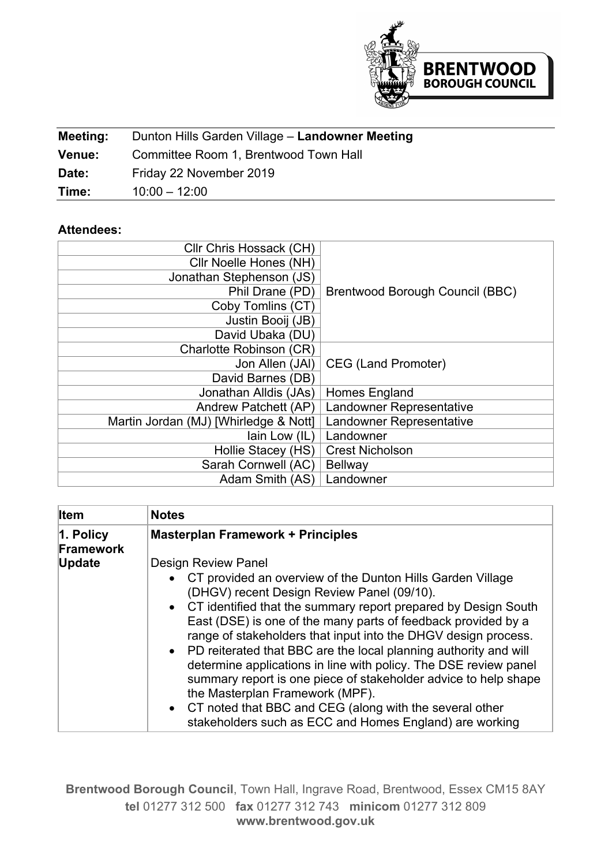

| Meeting:      | Dunton Hills Garden Village - Landowner Meeting |
|---------------|-------------------------------------------------|
| <b>Venue:</b> | Committee Room 1, Brentwood Town Hall           |
| Date:         | Friday 22 November 2019                         |
| Time:         | $10:00 - 12:00$                                 |

## **Attendees:**

| Cllr Chris Hossack (CH)               |                                 |
|---------------------------------------|---------------------------------|
| Cllr Noelle Hones (NH)                |                                 |
| Jonathan Stephenson (JS)              |                                 |
| Phil Drane (PD)                       | Brentwood Borough Council (BBC) |
| Coby Tomlins (CT)                     |                                 |
| Justin Booij (JB)                     |                                 |
| David Ubaka (DU)                      |                                 |
| Charlotte Robinson (CR)               |                                 |
| Jon Allen (JAI)                       | <b>CEG (Land Promoter)</b>      |
| David Barnes (DB)                     |                                 |
| Jonathan Alldis (JAs)                 | Homes England                   |
| Andrew Patchett (AP)                  | Landowner Representative        |
| Martin Jordan (MJ) [Whirledge & Nott] | Landowner Representative        |
| lain Low (IL)                         | Landowner                       |
| Hollie Stacey (HS)                    | <b>Crest Nicholson</b>          |
| Sarah Cornwell (AC)                   | <b>Bellway</b>                  |
| Adam Smith (AS)                       | Landowner                       |

| <b>Item</b>               | <b>Notes</b>                                                                                                                                                                                                                                                                                                                                                         |
|---------------------------|----------------------------------------------------------------------------------------------------------------------------------------------------------------------------------------------------------------------------------------------------------------------------------------------------------------------------------------------------------------------|
| $ 1.$ Policy<br>Framework | <b>Masterplan Framework + Principles</b>                                                                                                                                                                                                                                                                                                                             |
| <b>Update</b>             | <b>Design Review Panel</b><br>• CT provided an overview of the Dunton Hills Garden Village<br>(DHGV) recent Design Review Panel (09/10).<br>• CT identified that the summary report prepared by Design South<br>East (DSE) is one of the many parts of feedback provided by a<br>range of stakeholders that input into the DHGV design process.                      |
|                           | • PD reiterated that BBC are the local planning authority and will<br>determine applications in line with policy. The DSE review panel<br>summary report is one piece of stakeholder advice to help shape<br>the Masterplan Framework (MPF).<br>• CT noted that BBC and CEG (along with the several other<br>stakeholders such as ECC and Homes England) are working |

**Brentwood Borough Council**, Town Hall, Ingrave Road, Brentwood, Essex CM15 8AY **tel** 01277 312 500 **fax** 01277 312 743 **minicom** 01277 312 809 **www.brentwood.gov.uk**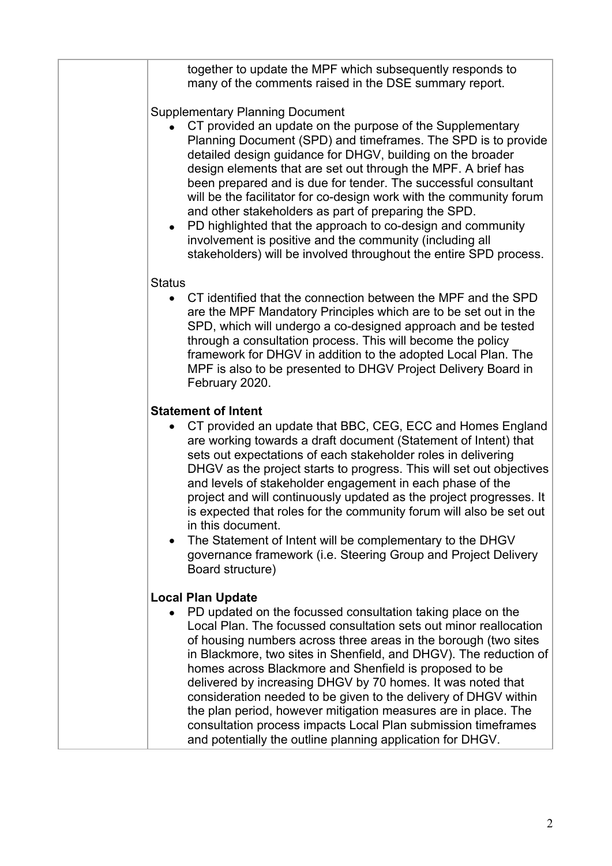|               | together to update the MPF which subsequently responds to<br>many of the comments raised in the DSE summary report.                                                                                                                                                                                                                                                                                                                                                                                                                                                                                                                                                                                    |
|---------------|--------------------------------------------------------------------------------------------------------------------------------------------------------------------------------------------------------------------------------------------------------------------------------------------------------------------------------------------------------------------------------------------------------------------------------------------------------------------------------------------------------------------------------------------------------------------------------------------------------------------------------------------------------------------------------------------------------|
|               | <b>Supplementary Planning Document</b><br>CT provided an update on the purpose of the Supplementary<br>Planning Document (SPD) and timeframes. The SPD is to provide<br>detailed design guidance for DHGV, building on the broader<br>design elements that are set out through the MPF. A brief has<br>been prepared and is due for tender. The successful consultant<br>will be the facilitator for co-design work with the community forum<br>and other stakeholders as part of preparing the SPD.<br>• PD highlighted that the approach to co-design and community<br>involvement is positive and the community (including all<br>stakeholders) will be involved throughout the entire SPD process. |
| <b>Status</b> |                                                                                                                                                                                                                                                                                                                                                                                                                                                                                                                                                                                                                                                                                                        |
|               | CT identified that the connection between the MPF and the SPD<br>are the MPF Mandatory Principles which are to be set out in the<br>SPD, which will undergo a co-designed approach and be tested<br>through a consultation process. This will become the policy<br>framework for DHGV in addition to the adopted Local Plan. The<br>MPF is also to be presented to DHGV Project Delivery Board in<br>February 2020.                                                                                                                                                                                                                                                                                    |
|               | <b>Statement of Intent</b>                                                                                                                                                                                                                                                                                                                                                                                                                                                                                                                                                                                                                                                                             |
|               | CT provided an update that BBC, CEG, ECC and Homes England<br>are working towards a draft document (Statement of Intent) that<br>sets out expectations of each stakeholder roles in delivering<br>DHGV as the project starts to progress. This will set out objectives<br>and levels of stakeholder engagement in each phase of the<br>project and will continuously updated as the project progresses. It<br>is expected that roles for the community forum will also be set out<br>in this document.<br>The Statement of Intent will be complementary to the DHGV<br>governance framework (i.e. Steering Group and Project Delivery<br>Board structure)                                              |
|               | <b>Local Plan Update</b>                                                                                                                                                                                                                                                                                                                                                                                                                                                                                                                                                                                                                                                                               |
|               | PD updated on the focussed consultation taking place on the<br>Local Plan. The focussed consultation sets out minor reallocation<br>of housing numbers across three areas in the borough (two sites<br>in Blackmore, two sites in Shenfield, and DHGV). The reduction of<br>homes across Blackmore and Shenfield is proposed to be<br>delivered by increasing DHGV by 70 homes. It was noted that<br>consideration needed to be given to the delivery of DHGV within<br>the plan period, however mitigation measures are in place. The<br>consultation process impacts Local Plan submission timeframes<br>and potentially the outline planning application for DHGV.                                  |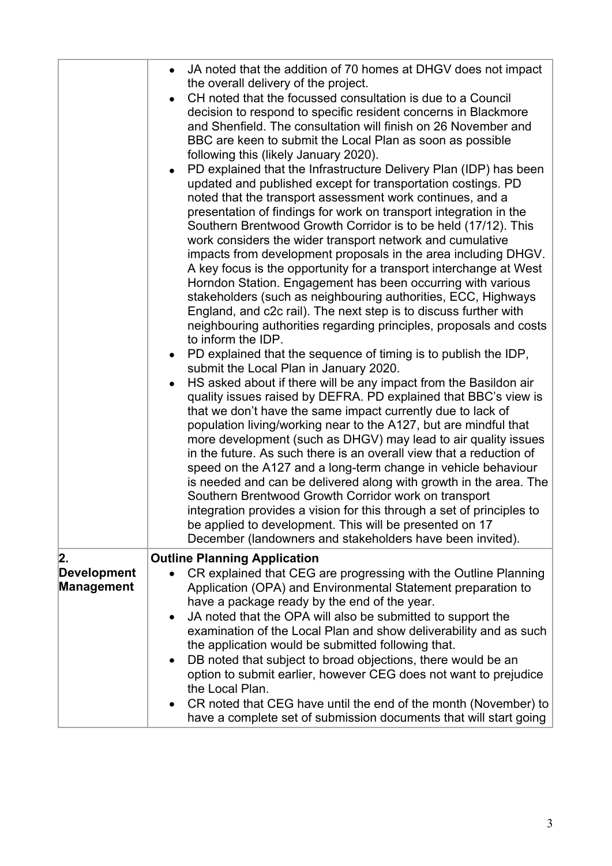|                    | JA noted that the addition of 70 homes at DHGV does not impact<br>the overall delivery of the project.<br>CH noted that the focussed consultation is due to a Council<br>decision to respond to specific resident concerns in Blackmore<br>and Shenfield. The consultation will finish on 26 November and<br>BBC are keen to submit the Local Plan as soon as possible<br>following this (likely January 2020).<br>PD explained that the Infrastructure Delivery Plan (IDP) has been<br>updated and published except for transportation costings. PD<br>noted that the transport assessment work continues, and a<br>presentation of findings for work on transport integration in the<br>Southern Brentwood Growth Corridor is to be held (17/12). This<br>work considers the wider transport network and cumulative<br>impacts from development proposals in the area including DHGV.<br>A key focus is the opportunity for a transport interchange at West<br>Horndon Station. Engagement has been occurring with various<br>stakeholders (such as neighbouring authorities, ECC, Highways<br>England, and c2c rail). The next step is to discuss further with<br>neighbouring authorities regarding principles, proposals and costs<br>to inform the IDP.<br>PD explained that the sequence of timing is to publish the IDP,<br>submit the Local Plan in January 2020.<br>HS asked about if there will be any impact from the Basildon air<br>quality issues raised by DEFRA. PD explained that BBC's view is<br>that we don't have the same impact currently due to lack of<br>population living/working near to the A127, but are mindful that<br>more development (such as DHGV) may lead to air quality issues<br>in the future. As such there is an overall view that a reduction of<br>speed on the A127 and a long-term change in vehicle behaviour |
|--------------------|----------------------------------------------------------------------------------------------------------------------------------------------------------------------------------------------------------------------------------------------------------------------------------------------------------------------------------------------------------------------------------------------------------------------------------------------------------------------------------------------------------------------------------------------------------------------------------------------------------------------------------------------------------------------------------------------------------------------------------------------------------------------------------------------------------------------------------------------------------------------------------------------------------------------------------------------------------------------------------------------------------------------------------------------------------------------------------------------------------------------------------------------------------------------------------------------------------------------------------------------------------------------------------------------------------------------------------------------------------------------------------------------------------------------------------------------------------------------------------------------------------------------------------------------------------------------------------------------------------------------------------------------------------------------------------------------------------------------------------------------------------------------------------------------------------------------------------------------------------------|
|                    | is needed and can be delivered along with growth in the area. The<br>Southern Brentwood Growth Corridor work on transport<br>integration provides a vision for this through a set of principles to<br>be applied to development. This will be presented on 17<br>December (landowners and stakeholders have been invited).                                                                                                                                                                                                                                                                                                                                                                                                                                                                                                                                                                                                                                                                                                                                                                                                                                                                                                                                                                                                                                                                                                                                                                                                                                                                                                                                                                                                                                                                                                                                     |
| 2.                 | <b>Outline Planning Application</b>                                                                                                                                                                                                                                                                                                                                                                                                                                                                                                                                                                                                                                                                                                                                                                                                                                                                                                                                                                                                                                                                                                                                                                                                                                                                                                                                                                                                                                                                                                                                                                                                                                                                                                                                                                                                                            |
| <b>Development</b> | CR explained that CEG are progressing with the Outline Planning                                                                                                                                                                                                                                                                                                                                                                                                                                                                                                                                                                                                                                                                                                                                                                                                                                                                                                                                                                                                                                                                                                                                                                                                                                                                                                                                                                                                                                                                                                                                                                                                                                                                                                                                                                                                |
| <b>Management</b>  | Application (OPA) and Environmental Statement preparation to                                                                                                                                                                                                                                                                                                                                                                                                                                                                                                                                                                                                                                                                                                                                                                                                                                                                                                                                                                                                                                                                                                                                                                                                                                                                                                                                                                                                                                                                                                                                                                                                                                                                                                                                                                                                   |
|                    | have a package ready by the end of the year.                                                                                                                                                                                                                                                                                                                                                                                                                                                                                                                                                                                                                                                                                                                                                                                                                                                                                                                                                                                                                                                                                                                                                                                                                                                                                                                                                                                                                                                                                                                                                                                                                                                                                                                                                                                                                   |
|                    | JA noted that the OPA will also be submitted to support the<br>examination of the Local Plan and show deliverability and as such<br>the application would be submitted following that.                                                                                                                                                                                                                                                                                                                                                                                                                                                                                                                                                                                                                                                                                                                                                                                                                                                                                                                                                                                                                                                                                                                                                                                                                                                                                                                                                                                                                                                                                                                                                                                                                                                                         |
|                    | DB noted that subject to broad objections, there would be an<br>option to submit earlier, however CEG does not want to prejudice<br>the Local Plan.                                                                                                                                                                                                                                                                                                                                                                                                                                                                                                                                                                                                                                                                                                                                                                                                                                                                                                                                                                                                                                                                                                                                                                                                                                                                                                                                                                                                                                                                                                                                                                                                                                                                                                            |
|                    | CR noted that CEG have until the end of the month (November) to<br>have a complete set of submission documents that will start going                                                                                                                                                                                                                                                                                                                                                                                                                                                                                                                                                                                                                                                                                                                                                                                                                                                                                                                                                                                                                                                                                                                                                                                                                                                                                                                                                                                                                                                                                                                                                                                                                                                                                                                           |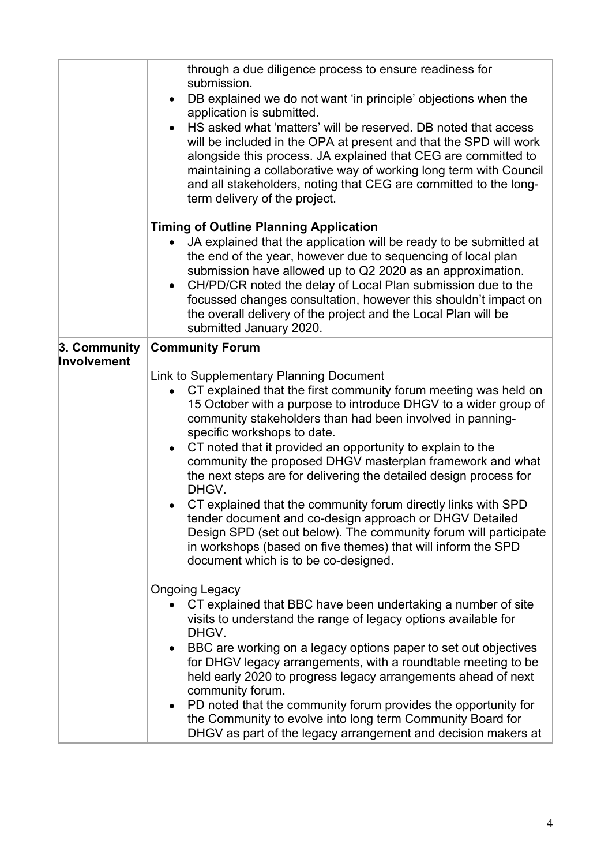|                             | through a due diligence process to ensure readiness for<br>submission.<br>DB explained we do not want 'in principle' objections when the<br>$\bullet$                                                                                                                                                                                                                                                                                                                                                                                                                                                                                                                                                                                                                                      |
|-----------------------------|--------------------------------------------------------------------------------------------------------------------------------------------------------------------------------------------------------------------------------------------------------------------------------------------------------------------------------------------------------------------------------------------------------------------------------------------------------------------------------------------------------------------------------------------------------------------------------------------------------------------------------------------------------------------------------------------------------------------------------------------------------------------------------------------|
|                             | application is submitted.<br>HS asked what 'matters' will be reserved. DB noted that access<br>$\bullet$<br>will be included in the OPA at present and that the SPD will work<br>alongside this process. JA explained that CEG are committed to<br>maintaining a collaborative way of working long term with Council<br>and all stakeholders, noting that CEG are committed to the long-<br>term delivery of the project.                                                                                                                                                                                                                                                                                                                                                                  |
|                             | <b>Timing of Outline Planning Application</b><br>JA explained that the application will be ready to be submitted at<br>$\bullet$                                                                                                                                                                                                                                                                                                                                                                                                                                                                                                                                                                                                                                                           |
|                             | the end of the year, however due to sequencing of local plan<br>submission have allowed up to Q2 2020 as an approximation.<br>CH/PD/CR noted the delay of Local Plan submission due to the<br>$\bullet$<br>focussed changes consultation, however this shouldn't impact on<br>the overall delivery of the project and the Local Plan will be<br>submitted January 2020.                                                                                                                                                                                                                                                                                                                                                                                                                    |
| 3. Community<br>Involvement | <b>Community Forum</b>                                                                                                                                                                                                                                                                                                                                                                                                                                                                                                                                                                                                                                                                                                                                                                     |
|                             | Link to Supplementary Planning Document<br>CT explained that the first community forum meeting was held on<br>15 October with a purpose to introduce DHGV to a wider group of<br>community stakeholders than had been involved in panning-<br>specific workshops to date.<br>CT noted that it provided an opportunity to explain to the<br>community the proposed DHGV masterplan framework and what<br>the next steps are for delivering the detailed design process for<br>DHGV.<br>CT explained that the community forum directly links with SPD<br>tender document and co-design approach or DHGV Detailed<br>Design SPD (set out below). The community forum will participate<br>in workshops (based on five themes) that will inform the SPD<br>document which is to be co-designed. |
|                             | <b>Ongoing Legacy</b><br>CT explained that BBC have been undertaking a number of site<br>visits to understand the range of legacy options available for<br>DHGV.<br>BBC are working on a legacy options paper to set out objectives<br>$\bullet$<br>for DHGV legacy arrangements, with a roundtable meeting to be<br>held early 2020 to progress legacy arrangements ahead of next<br>community forum.<br>PD noted that the community forum provides the opportunity for<br>the Community to evolve into long term Community Board for<br>DHGV as part of the legacy arrangement and decision makers at                                                                                                                                                                                    |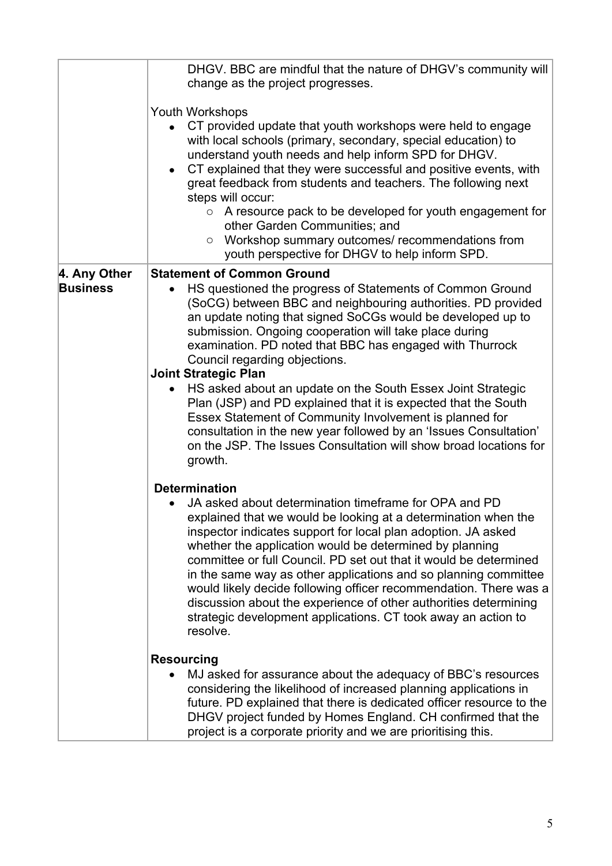|                                 | DHGV. BBC are mindful that the nature of DHGV's community will<br>change as the project progresses.                                                                                                                                                                                                                                                                                                                                                                                                                                                                                                                                                    |
|---------------------------------|--------------------------------------------------------------------------------------------------------------------------------------------------------------------------------------------------------------------------------------------------------------------------------------------------------------------------------------------------------------------------------------------------------------------------------------------------------------------------------------------------------------------------------------------------------------------------------------------------------------------------------------------------------|
|                                 | <b>Youth Workshops</b><br>CT provided update that youth workshops were held to engage<br>with local schools (primary, secondary, special education) to<br>understand youth needs and help inform SPD for DHGV.<br>CT explained that they were successful and positive events, with<br>$\bullet$<br>great feedback from students and teachers. The following next<br>steps will occur:<br>A resource pack to be developed for youth engagement for<br>$\circ$<br>other Garden Communities; and<br>Workshop summary outcomes/ recommendations from<br>$\circ$<br>youth perspective for DHGV to help inform SPD.                                          |
| 4. Any Other<br><b>Business</b> | <b>Statement of Common Ground</b><br>HS questioned the progress of Statements of Common Ground<br>(SoCG) between BBC and neighbouring authorities. PD provided<br>an update noting that signed SoCGs would be developed up to<br>submission. Ongoing cooperation will take place during<br>examination. PD noted that BBC has engaged with Thurrock<br>Council regarding objections.                                                                                                                                                                                                                                                                   |
|                                 | <b>Joint Strategic Plan</b><br>HS asked about an update on the South Essex Joint Strategic<br>$\bullet$<br>Plan (JSP) and PD explained that it is expected that the South<br>Essex Statement of Community Involvement is planned for<br>consultation in the new year followed by an 'Issues Consultation'<br>on the JSP. The Issues Consultation will show broad locations for<br>growth.                                                                                                                                                                                                                                                              |
|                                 | <b>Determination</b><br>JA asked about determination timeframe for OPA and PD<br>$\bullet$<br>explained that we would be looking at a determination when the<br>inspector indicates support for local plan adoption. JA asked<br>whether the application would be determined by planning<br>committee or full Council. PD set out that it would be determined<br>in the same way as other applications and so planning committee<br>would likely decide following officer recommendation. There was a<br>discussion about the experience of other authorities determining<br>strategic development applications. CT took away an action to<br>resolve. |
|                                 | <b>Resourcing</b><br>MJ asked for assurance about the adequacy of BBC's resources<br>considering the likelihood of increased planning applications in<br>future. PD explained that there is dedicated officer resource to the<br>DHGV project funded by Homes England. CH confirmed that the<br>project is a corporate priority and we are prioritising this.                                                                                                                                                                                                                                                                                          |